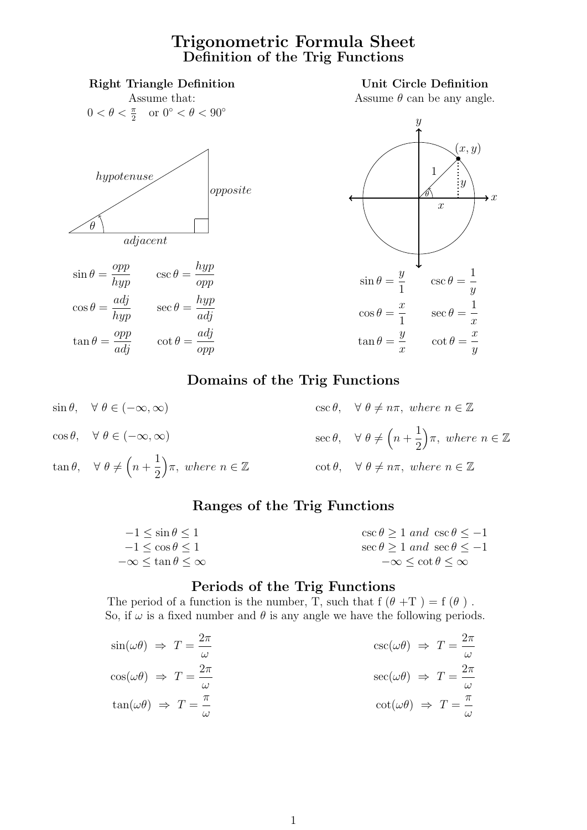#### Trigonometric Formula Sheet Definition of the Trig Functions



 $\cos \theta, \quad \forall \ \theta \in (-\infty, \infty)$  $\tan \theta$ ,  $\forall \theta \neq (n +$ 1 2  $\Big)$ π, where  $n \in \mathbb{Z}$  $\sec \theta$ ,  $\forall \theta \neq (n +$ 1 2  $\Big)$ π, where  $n \in \mathbb{Z}$ cot  $\theta$ ,  $\forall \theta \neq n\pi$ , where  $n \in \mathbb{Z}$ 

#### Ranges of the Trig Functions

| $-1 < \sin \theta < 1$           | $\csc \theta \geq 1$ and $\csc \theta \leq -1$ |
|----------------------------------|------------------------------------------------|
| $-1 \lt \cos \theta \lt 1$       | $\sec \theta > 1$ and $\sec \theta < -1$       |
| $-\infty < \tan \theta < \infty$ | $-\infty \le \cot \theta \le \infty$           |

#### Periods of the Trig Functions

The period of a function is the number, T, such that  $f(\theta + T) = f(\theta)$ . So, if  $\omega$  is a fixed number and  $\theta$  is any angle we have the following periods.

$$
\sin(\omega \theta) \Rightarrow T = \frac{2\pi}{\omega} \n\cos(\omega \theta) \Rightarrow T = \frac{2\pi}{\omega} \n\tan(\omega \theta) \Rightarrow T = \frac{\pi}{\omega} \n\cos(\omega \theta) \Rightarrow T = \frac{2\pi}{\omega} \n\cot(\omega \theta) \Rightarrow T = \frac{\pi}{\omega}
$$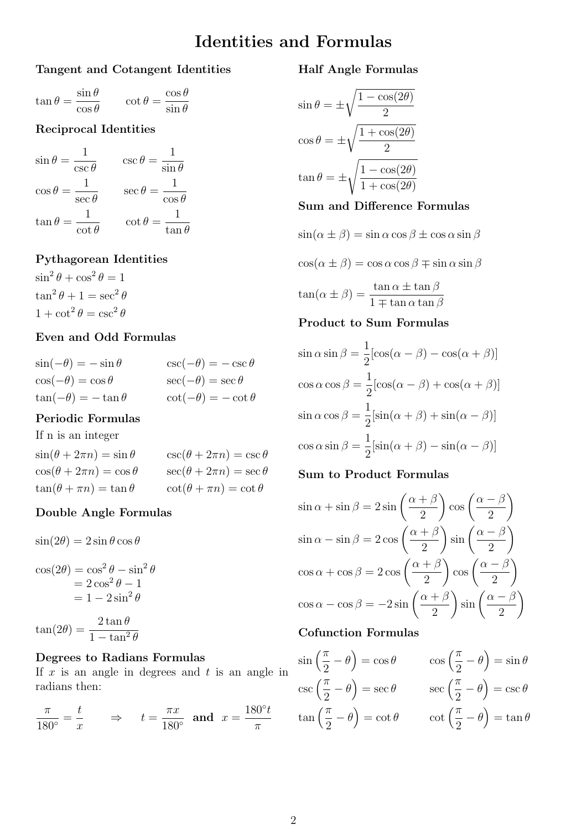### Identities and Formulas

#### Tangent and Cotangent Identities

$$
\tan \theta = \frac{\sin \theta}{\cos \theta} \qquad \cot \theta = \frac{\cos \theta}{\sin \theta}
$$

#### Reciprocal Identities

$$
\sin \theta = \frac{1}{\csc \theta} \qquad \csc \theta = \frac{1}{\sin \theta}
$$

$$
\cos \theta = \frac{1}{\sec \theta} \qquad \sec \theta = \frac{1}{\cos \theta}
$$

$$
\tan \theta = \frac{1}{\cot \theta} \qquad \cot \theta = \frac{1}{\tan \theta}
$$

#### Pythagorean Identities

 $\sin^2\theta + \cos^2\theta = 1$  $\tan^2 \theta + 1 = \sec^2 \theta$  $1 + \cot^2 \theta = \csc^2 \theta$ 

#### Even and Odd Formulas

| $\sin(-\theta) = -\sin\theta$ | $\csc(-\theta) = -\csc \theta$ |
|-------------------------------|--------------------------------|
| $\cos(-\theta) = \cos\theta$  | $\sec(-\theta) = \sec \theta$  |
| $\tan(-\theta) = -\tan\theta$ | $\cot(-\theta) = -\cot\theta$  |

#### Periodic Formulas

If n is an integer

| $\sin(\theta + 2\pi n) = \sin \theta$ | $\csc(\theta + 2\pi n) = \csc \theta$ |
|---------------------------------------|---------------------------------------|
| $\cos(\theta + 2\pi n) = \cos \theta$ | $\sec(\theta + 2\pi n) = \sec \theta$ |
| $\tan(\theta + \pi n) = \tan \theta$  | $\cot(\theta + \pi n) = \cot \theta$  |

#### Double Angle Formulas

 $\sin(2\theta) = 2\sin\theta\cos\theta$ 

$$
\cos(2\theta) = \cos^2 \theta - \sin^2 \theta
$$
  
= 2 cos<sup>2</sup> θ - 1  
= 1 - 2 sin<sup>2</sup> θ

 $\tan(2\theta) = \frac{2\tan\theta}{1-\tan^2\theta}$  $1 - \tan^2 \theta$ 

#### Degrees to Radians Formulas

If  $x$  is an angle in degrees and  $t$  is an angle in radians then:

$$
\frac{\pi}{180^\circ} = \frac{t}{x} \qquad \Rightarrow \qquad t = \frac{\pi x}{180^\circ} \text{ and } x = \frac{180^\circ t}{\pi}
$$

#### Half Angle Formulas

$$
\sin \theta = \pm \sqrt{\frac{1 - \cos(2\theta)}{2}}
$$

$$
\cos \theta = \pm \sqrt{\frac{1 + \cos(2\theta)}{2}}
$$

$$
\tan \theta = \pm \sqrt{\frac{1 - \cos(2\theta)}{1 + \cos(2\theta)}}
$$

#### Sum and Difference Formulas

$$
\sin(\alpha \pm \beta) = \sin \alpha \cos \beta \pm \cos \alpha \sin \beta
$$

$$
\cos(\alpha \pm \beta) = \cos \alpha \cos \beta \mp \sin \alpha \sin \beta
$$

$$
\tan(\alpha \pm \beta) = \frac{\tan \alpha \pm \tan \beta}{1 \mp \tan \alpha \tan \beta}
$$
**Product to Sum Formulas**

$$
\sin \alpha \sin \beta = \frac{1}{2} [\cos(\alpha - \beta) - \cos(\alpha + \beta)]
$$

$$
\cos \alpha \cos \beta = \frac{1}{2} [\cos(\alpha - \beta) + \cos(\alpha + \beta)]
$$

$$
\sin \alpha \cos \beta = \frac{1}{2} [\sin(\alpha + \beta) + \sin(\alpha - \beta)]
$$

$$
\cos \alpha \sin \beta = \frac{1}{2} [\sin(\alpha + \beta) - \sin(\alpha - \beta)]
$$

#### Sum to Product Formulas

$$
\sin \alpha + \sin \beta = 2 \sin \left( \frac{\alpha + \beta}{2} \right) \cos \left( \frac{\alpha - \beta}{2} \right)
$$

$$
\sin \alpha - \sin \beta = 2 \cos \left( \frac{\alpha + \beta}{2} \right) \sin \left( \frac{\alpha - \beta}{2} \right)
$$

$$
\cos \alpha + \cos \beta = 2 \cos \left( \frac{\alpha + \beta}{2} \right) \cos \left( \frac{\alpha - \beta}{2} \right)
$$

$$
\cos \alpha - \cos \beta = -2 \sin \left( \frac{\alpha + \beta}{2} \right) \sin \left( \frac{\alpha - \beta}{2} \right)
$$

#### Cofunction Formulas

$$
\sin\left(\frac{\pi}{2} - \theta\right) = \cos\theta \qquad \cos\left(\frac{\pi}{2} - \theta\right) = \sin\theta
$$

$$
\csc\left(\frac{\pi}{2} - \theta\right) = \sec\theta \qquad \sec\left(\frac{\pi}{2} - \theta\right) = \csc\theta
$$

$$
\tan\left(\frac{\pi}{2} - \theta\right) = \cot\theta \qquad \cot\left(\frac{\pi}{2} - \theta\right) = \tan\theta
$$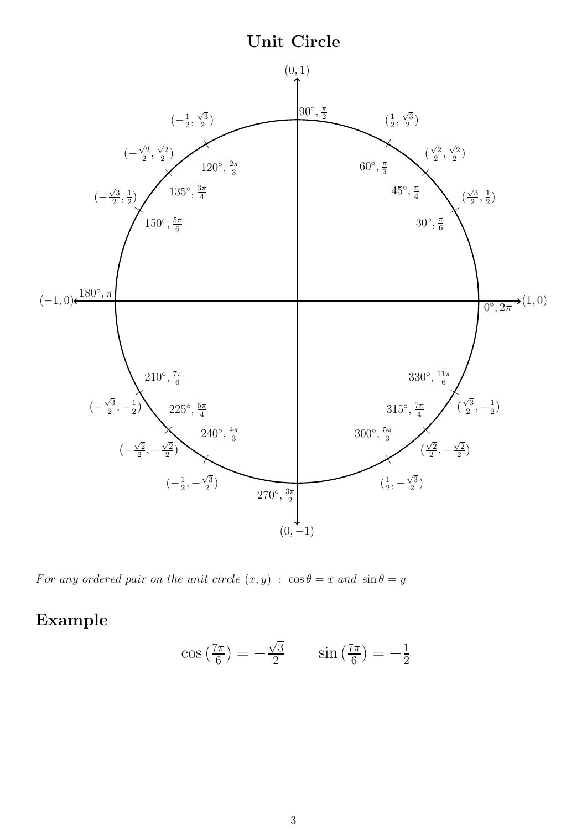### Unit Circle



For any ordered pair on the unit circle  $(x, y)$ :  $\cos \theta = x$  and  $\sin \theta = y$ 

### Example

$$
\cos\left(\frac{7\pi}{6}\right) = -\frac{\sqrt{3}}{2} \qquad \sin\left(\frac{7\pi}{6}\right) = -\frac{1}{2}
$$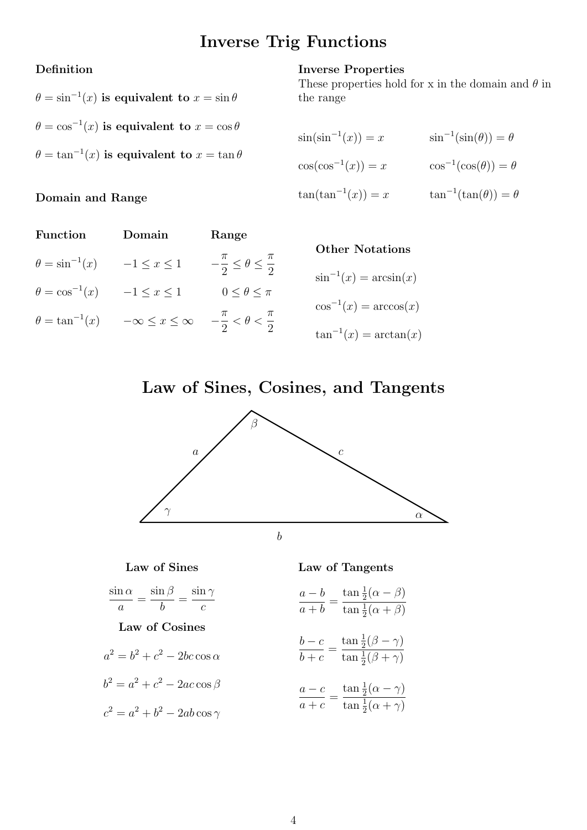### Inverse Trig Functions

Inverse Properties

the range

#### Definition

Domain and Range

# $\theta = \sin^{-1}(x)$  is equivalent to  $x = \sin \theta$  $\theta = \cos^{-1}(x)$  is equivalent to  $x = \cos \theta$  $\theta = \tan^{-1}(x)$  is equivalent to  $x = \tan \theta$

# $\sin(\sin^{-1}(x)) = x$   $\sin^{-1}(\sin(\theta)) = \theta$  $\cos(\cos^{-1}(x)) = x$   $\cos^{-1}(\cos(\theta)) = \theta$  $\tan(\tan^{-1}(x)) = x$   $\tan^{-1}(\tan(\theta)) = \theta$

These properties hold for x in the domain and  $\theta$  in

| Function                | Domain                                                                 | Range                                           |                             |
|-------------------------|------------------------------------------------------------------------|-------------------------------------------------|-----------------------------|
| $\theta = \sin^{-1}(x)$ | $-1 \leq x \leq 1$                                                     | $-\frac{\pi}{2} \leq \theta \leq \frac{\pi}{2}$ | <b>Other Notations</b>      |
|                         |                                                                        |                                                 | $\sin^{-1}(x) = \arcsin(x)$ |
| $\theta = \cos^{-1}(x)$ | $-1 \leq x \leq 1$                                                     | $0 \leq \theta \leq \pi$                        |                             |
| $\theta = \tan^{-1}(x)$ | $-\infty \leq x \leq \infty$ $-\frac{\pi}{2} < \theta < \frac{\pi}{2}$ |                                                 | $\cos^{-1}(x) = \arccos(x)$ |
|                         |                                                                        |                                                 | $\tan^{-1}(x) = \arctan(x)$ |

### Law of Sines, Cosines, and Tangents



#### Law of Sines

$$
\frac{\sin\alpha}{a} = \frac{\sin\beta}{b} = \frac{\sin\gamma}{c}
$$

#### Law of Cosines

$$
a^2 = b^2 + c^2 - 2bc \cos \alpha
$$

$$
b^2 = a^2 + c^2 - 2ac\cos\beta
$$

 $c^2 = a^2 + b^2 - 2ab\cos\gamma$ 

#### Law of Tangents

$$
\frac{a-b}{a+b} = \frac{\tan\frac{1}{2}(\alpha - \beta)}{\tan\frac{1}{2}(\alpha + \beta)}
$$

$$
\frac{b-c}{b+c} = \frac{\tan\frac{1}{2}(\beta-\gamma)}{\tan\frac{1}{2}(\beta+\gamma)}
$$

$$
\frac{a-c}{a+c} = \frac{\tan\frac{1}{2}(\alpha - \gamma)}{\tan\frac{1}{2}(\alpha + \gamma)}
$$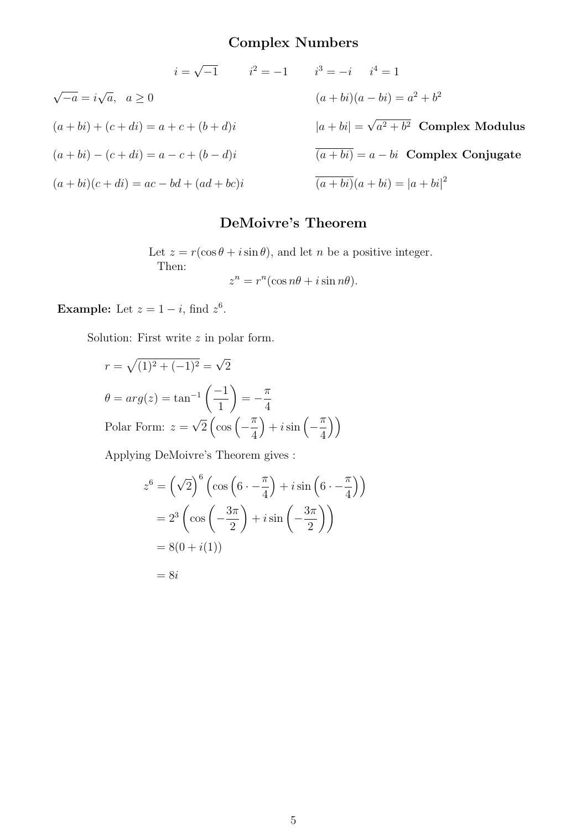### Complex Numbers

$$
i = \sqrt{-1} \qquad i^2 = -1 \qquad i^3 = -i \qquad i^4 = 1
$$
  

$$
\sqrt{-a} = i\sqrt{a}, \quad a \ge 0
$$
  

$$
(a + bi) + (c + di) = a + c + (b + d)i
$$
  

$$
(a + bi) - (c + di) = a - c + (b - d)i
$$
  

$$
(a + bi)(c + di) = ac - bd + (ad + bc)i
$$
  

$$
(a + bi)(a + bi) = a^2 + b^2
$$
  

$$
(a + bi)(c + di) = ac - bd + (ad + bc)i
$$
  

$$
(a + bi)(a + bi) = |a + bi|^2
$$

#### DeMoivre's Theorem

Let  $z = r(\cos \theta + i \sin \theta)$ , and let *n* be a positive integer. Then:

$$
z^n = r^n(\cos n\theta + i\sin n\theta).
$$

**Example:** Let  $z = 1 - i$ , find  $z^6$ .

Solution: First write  $z$  in polar form.

$$
r = \sqrt{(1)^2 + (-1)^2} = \sqrt{2}
$$
  
\n
$$
\theta = arg(z) = \tan^{-1}\left(\frac{-1}{1}\right) = -\frac{\pi}{4}
$$
  
\nPolar Form:  $z = \sqrt{2}\left(\cos\left(-\frac{\pi}{4}\right) + i\sin\left(-\frac{\pi}{4}\right)\right)$ 

Applying DeMoivre's Theorem gives :

$$
z^{6} = \left(\sqrt{2}\right)^{6} \left(\cos\left(6\cdot - \frac{\pi}{4}\right) + i\sin\left(6\cdot - \frac{\pi}{4}\right)\right)
$$

$$
= 2^{3} \left(\cos\left(-\frac{3\pi}{2}\right) + i\sin\left(-\frac{3\pi}{2}\right)\right)
$$

$$
= 8(0 + i(1))
$$

$$
= 8i
$$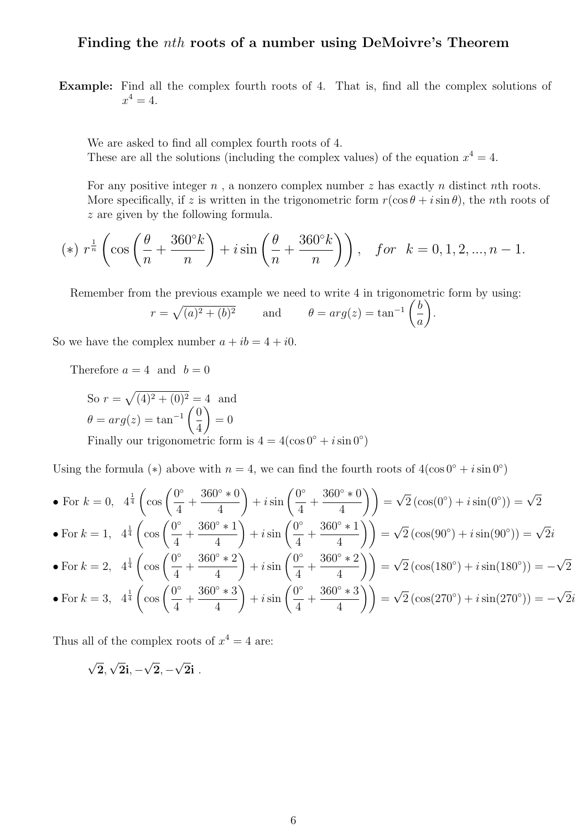#### Finding the nth roots of a number using DeMoivre's Theorem

Example: Find all the complex fourth roots of 4. That is, find all the complex solutions of  $x^4 = 4.$ 

We are asked to find all complex fourth roots of 4. These are all the solutions (including the complex values) of the equation  $x^4 = 4$ .

For any positive integer  $n$ , a nonzero complex number  $z$  has exactly  $n$  distinct  $n$ th roots. More specifically, if z is written in the trigonometric form  $r(\cos\theta + i\sin\theta)$ , the nth roots of z are given by the following formula.

(\*) 
$$
r^{\frac{1}{n}} \left( \cos \left( \frac{\theta}{n} + \frac{360^{\circ} k}{n} \right) + i \sin \left( \frac{\theta}{n} + \frac{360^{\circ} k}{n} \right) \right)
$$
, for  $k = 0, 1, 2, ..., n - 1$ .

Remember from the previous example we need to write 4 in trigonometric form by using:

$$
r = \sqrt{(a)^2 + (b)^2}
$$
 and  $\theta = arg(z) = \tan^{-1} \left(\frac{b}{a}\right)$ .

So we have the complex number  $a + ib = 4 + i0$ .

Therefore  $a = 4$  and  $b = 0$ 

So 
$$
r = \sqrt{(4)^2 + (0)^2} = 4
$$
 and  
\n $\theta = arg(z) = \tan^{-1} \left(\frac{0}{4}\right) = 0$   
\nFinally our trigonometric form is  $4 = 4(\cos 0^\circ + i \sin 0^\circ)$ 

Using the formula (\*) above with  $n = 4$ , we can find the fourth roots of  $4(\cos 0° + i \sin 0°)$ 

• For 
$$
k = 0
$$
,  $4^{\frac{1}{4}} \left( \cos \left( \frac{0^{\circ}}{4} + \frac{360^{\circ} * 0}{4} \right) + i \sin \left( \frac{0^{\circ}}{4} + \frac{360^{\circ} * 0}{4} \right) \right) = \sqrt{2} \left( \cos(0^{\circ}) + i \sin(0^{\circ}) \right) = \sqrt{2}$   
\n• For  $k = 1$ ,  $4^{\frac{1}{4}} \left( \cos \left( \frac{0^{\circ}}{4} + \frac{360^{\circ} * 1}{4} \right) + i \sin \left( \frac{0^{\circ}}{4} + \frac{360^{\circ} * 1}{4} \right) \right) = \sqrt{2} \left( \cos(90^{\circ}) + i \sin(90^{\circ}) \right) = \sqrt{2}i$   
\n• For  $k = 2$ ,  $4^{\frac{1}{4}} \left( \cos \left( \frac{0^{\circ}}{4} + \frac{360^{\circ} * 2}{4} \right) + i \sin \left( \frac{0^{\circ}}{4} + \frac{360^{\circ} * 2}{4} \right) \right) = \sqrt{2} \left( \cos(180^{\circ}) + i \sin(180^{\circ}) \right) = -\sqrt{2}$   
\n• For  $k = 3$ ,  $4^{\frac{1}{4}} \left( \cos \left( \frac{0^{\circ}}{4} + \frac{360^{\circ} * 3}{4} \right) + i \sin \left( \frac{0^{\circ}}{4} + \frac{360^{\circ} * 3}{4} \right) \right) = \sqrt{2} \left( \cos(270^{\circ}) + i \sin(270^{\circ}) \right) = -\sqrt{2}i$ 

Thus all of the complex roots of  $x^4 = 4$  are:

$$
\sqrt{2}, \sqrt{2}i, -\sqrt{2}, -\sqrt{2}i \ .
$$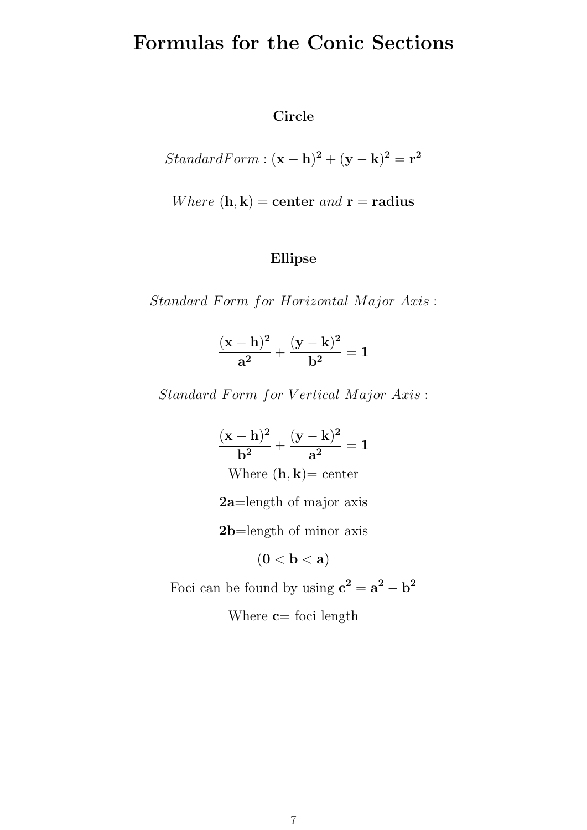# Formulas for the Conic Sections

#### Circle

StandardForm : 
$$
(\mathbf{x} - \mathbf{h})^2 + (\mathbf{y} - \mathbf{k})^2 = \mathbf{r}^2
$$

Where 
$$
(\mathbf{h}, \mathbf{k})
$$
 = center and  $\mathbf{r}$  = radius

### Ellipse

Standard Form for Horizontal Major Axis:

$$
\frac{({\rm x} - {\rm h})^2}{{\rm a}^2} + \frac{({\rm y} - {\rm k})^2}{{\rm b}^2} = 1
$$

Standard Form for Vertical Major Axis:

$$
\frac{(x-h)^2}{b^2} + \frac{(y-k)^2}{a^2} = 1
$$
  
Where (h, k)= center

2a=length of major axis

2b=length of minor axis

$$
(\mathbf{0} < \mathbf{b} < \mathbf{a})
$$

Foci can be found by using  $c^2 = a^2 - b^2$ 

Where  $c=$  foci length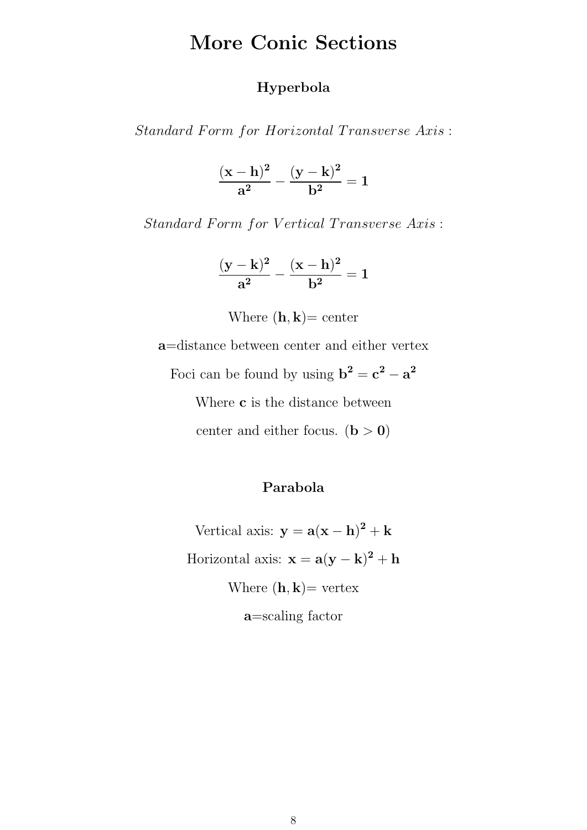# More Conic Sections

#### Hyperbola

Standard Form for Horizontal Transverse Axis:

$$
\frac{(\mathbf{x}-\mathbf{h})^2}{\mathbf{a}^2}-\frac{(\mathbf{y}-\mathbf{k})^2}{\mathbf{b}^2}=1
$$

Standard Form for Vertical Transverse Axis:

$$
\frac{(y-k)^2}{a^2}-\frac{(x-h)^2}{b^2}=1
$$

Where  $(\mathbf{h}, \mathbf{k}) =$  center

a=distance between center and either vertex

Foci can be found by using  $\mathbf{b}^2 = \mathbf{c}^2 - \mathbf{a}^2$ 

Where **c** is the distance between

center and either focus.  $(b > 0)$ 

#### Parabola

Vertical axis:  $y = a(x - h)^2 + k$ Horizontal axis:  $\mathbf{x} = \mathbf{a}(\mathbf{y} - \mathbf{k})^2 + \mathbf{h}$ Where  $(\mathbf{h}, \mathbf{k})$  vertex a=scaling factor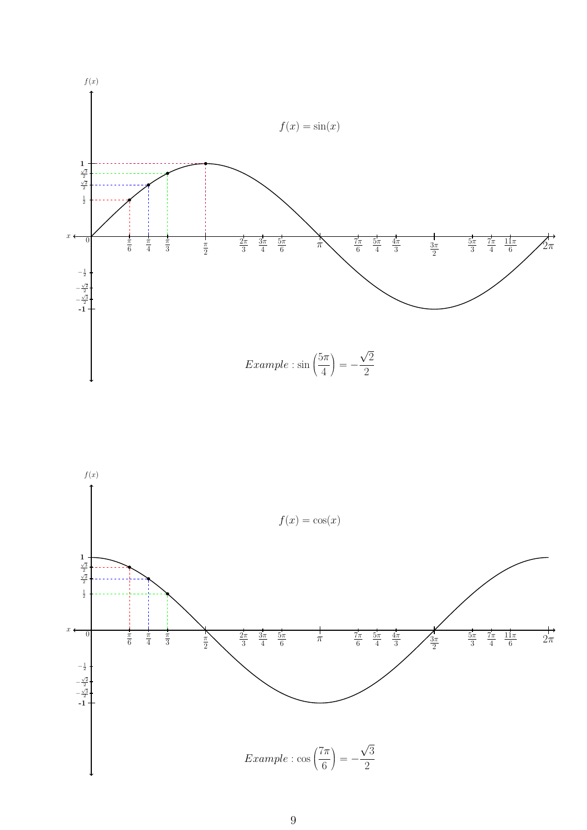